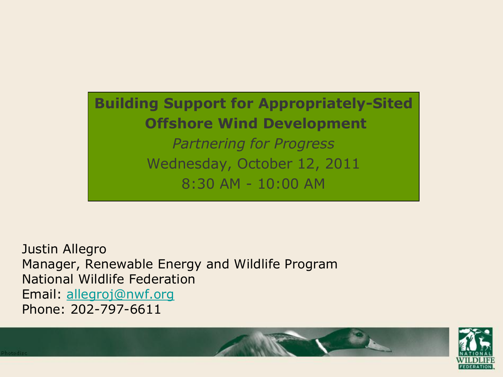### **Building Support for Appropriately-Sited Offshore Wind Development** *Partnering for Progress*

Wednesday, October 12, 2011 8:30 AM - 10:00 AM

Justin Allegro Manager, Renewable Energy and Wildlife Program National Wildlife Federation Email: [allegroj@nwf.org](mailto:allegroj@nwf.org) Phone: 202-797-6611

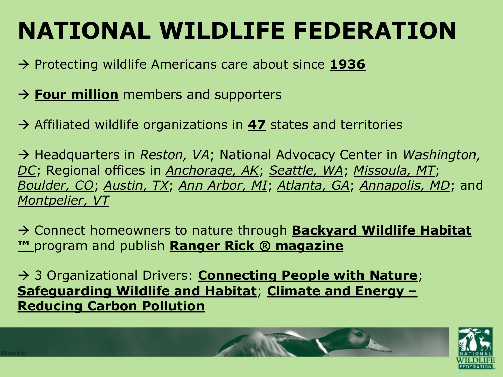# **NATIONAL WILDLIFE FEDERATION**

- → Protecting wildlife Americans care about since 1936
- $\rightarrow$  **Four million** members and supporters
- → Affiliated wildlife organizations in **47** states and territories

→ Headquarters in *Reston, VA*; National Advocacy Center in *Washington*, *DC*; Regional offices in *Anchorage, AK*; *Seattle, WA*; *Missoula, MT*; *Boulder, CO*; *Austin, TX*; *Ann Arbor, MI*; *Atlanta, GA*; *Annapolis, MD*; and *Montpelier, VT* 

→ Connect homeowners to nature through **Backyard Wildlife Habitat ™** program and publish **Ranger Rick ® magazine**

 3 Organizational Drivers: **Connecting People with Nature**; **Safeguarding Wildlife and Habitat**; **Climate and Energy – Reducing Carbon Pollution**

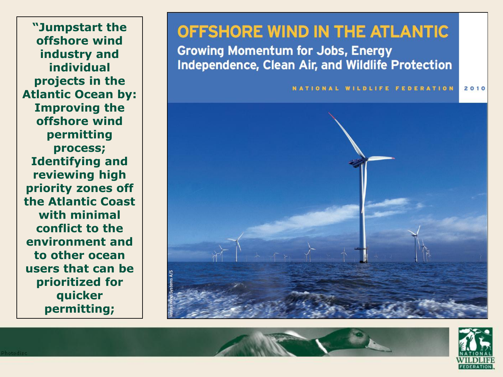**"Jumpstart the offshore wind industry and individual projects in the Atlantic Ocean by: Improving the offshore wind permitting process; Identifying and reviewing high priority zones off the Atlantic Coast with minimal conflict to the environment and to other ocean users that can be prioritized for quicker permitting;**

### OFFSHORE WIND IN THE ATLANTIC

**Growing Momentum for Jobs, Energy** Independence, Clean Air, and Wildlife Protection



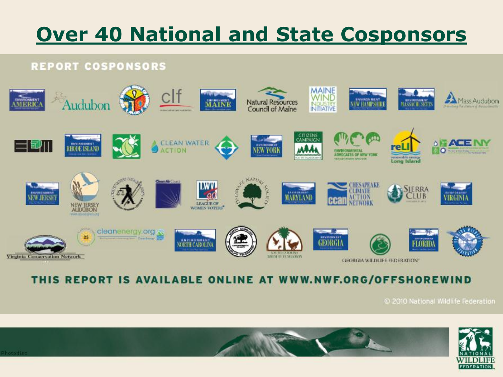# **Over 40 National and State Cosponsors**

#### **REPORT COSPONSORS**



#### THIS REPORT IS AVAILABLE ONLINE AT WWW.NWF.ORG/OFFSHOREWIND

2010 National Wildlife Federation

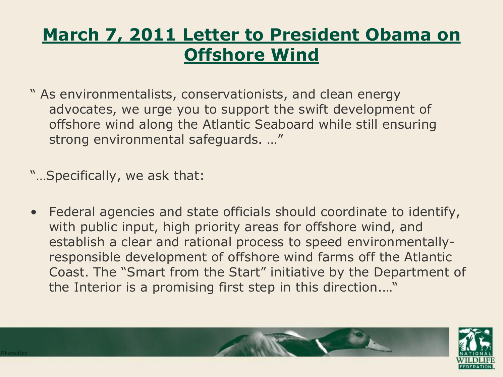## **March 7, 2011 Letter to President Obama on Offshore Wind**

" As environmentalists, conservationists, and clean energy advocates, we urge you to support the swift development of offshore wind along the Atlantic Seaboard while still ensuring strong environmental safeguards. …"

"…Specifically, we ask that:

• Federal agencies and state officials should coordinate to identify, with public input, high priority areas for offshore wind, and establish a clear and rational process to speed environmentallyresponsible development of offshore wind farms off the Atlantic Coast. The "Smart from the Start" initiative by the Department of the Interior is a promising first step in this direction.…"

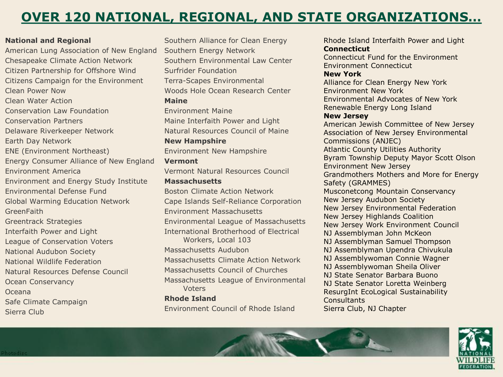### **OVER 120 NATIONAL, REGIONAL, AND STATE ORGANIZATIONS…**

#### **National and Regional**

American Lung Association of New England Chesapeake Climate Action Network Citizen Partnership for Offshore Wind Citizens Campaign for the Environment Clean Power Now Clean Water Action Conservation Law Foundation Conservation Partners Delaware Riverkeeper Network Earth Day Network ENE (Environment Northeast) Energy Consumer Alliance of New England Environment America Environment and Energy Study Institute Environmental Defense Fund Global Warming Education Network **GreenFaith** Greentrack Strategies Interfaith Power and Light League of Conservation Voters National Audubon Society National Wildlife Federation Natural Resources Defense Council Ocean Conservancy Oceana Safe Climate Campaign Sierra Club

Southern Alliance for Clean Energy Southern Energy Network Southern Environmental Law Center Surfrider Foundation Terra-Scapes Environmental Woods Hole Ocean Research Center **Maine**  Environment Maine Maine Interfaith Power and Light Natural Resources Council of Maine **New Hampshire**  Environment New Hampshire **Vermont**  Vermont Natural Resources Council

#### **Massachusetts**

Boston Climate Action Network Cape Islands Self-Reliance Corporation Environment Massachusetts Environmental League of Massachusetts International Brotherhood of Electrical Workers, Local 103 Massachusetts Audubon Massachusetts Climate Action Network Massachusetts Council of Churches Massachusetts League of Environmental Voters **Rhode Island** 

Environment Council of Rhode Island

Rhode Island Interfaith Power and Light **Connecticut** 

Connecticut Fund for the Environment Environment Connecticut

#### **New York**

Alliance for Clean Energy New York Environment New York Environmental Advocates of New York Renewable Energy Long Island

#### **New Jersey**

American Jewish Committee of New Jersey Association of New Jersey Environmental Commissions (ANJEC) Atlantic County Utilities Authority Byram Township Deputy Mayor Scott Olson Environment New Jersey Grandmothers Mothers and More for Energy Safety (GRAMMES) Musconetcong Mountain Conservancy New Jersey Audubon Society New Jersey Environmental Federation New Jersey Highlands Coalition New Jersey Work Environment Council NJ Assemblyman John McKeon NJ Assemblyman Samuel Thompson NJ Assemblyman Upendra Chivukula NJ Assemblywoman Connie Wagner NJ Assemblywoman Sheila Oliver NJ State Senator Barbara Buono NJ State Senator Loretta Weinberg ResurgInt EcoLogical Sustainability **Consultants** Sierra Club, NJ Chapter

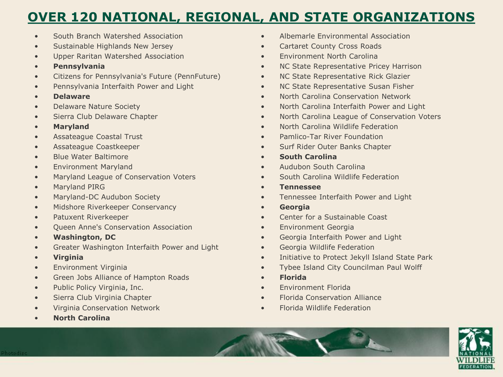### **OVER 120 NATIONAL, REGIONAL, AND STATE ORGANIZATIONS**

- South Branch Watershed Association
- Sustainable Highlands New Jersey
- Upper Raritan Watershed Association
- **Pennsylvania**
- Citizens for Pennsylvania's Future (PennFuture)
- Pennsylvania Interfaith Power and Light
- **Delaware**
- Delaware Nature Society
- Sierra Club Delaware Chapter
- **Maryland**
- Assateague Coastal Trust
- Assateague Coastkeeper
- Blue Water Baltimore
- Environment Maryland
- Maryland League of Conservation Voters
- Maryland PIRG
- Maryland-DC Audubon Society
- Midshore Riverkeeper Conservancy
- Patuxent Riverkeeper
- Queen Anne's Conservation Association
- **Washington, DC**
- Greater Washington Interfaith Power and Light
- **Virginia**
- Environment Virginia
- Green Jobs Alliance of Hampton Roads
- Public Policy Virginia, Inc.
- Sierra Club Virginia Chapter
- Virginia Conservation Network
- **North Carolina**
- Albemarle Environmental Association
- Cartaret County Cross Roads
- Environment North Carolina
- NC State Representative Pricey Harrison
- NC State Representative Rick Glazier
- NC State Representative Susan Fisher
- North Carolina Conservation Network
- North Carolina Interfaith Power and Light
- North Carolina League of Conservation Voters
- North Carolina Wildlife Federation
- Pamlico-Tar River Foundation
- Surf Rider Outer Banks Chapter
- **South Carolina**
- Audubon South Carolina
- South Carolina Wildlife Federation
- **Tennessee**
- Tennessee Interfaith Power and Light
- **Georgia**
- Center for a Sustainable Coast
- Environment Georgia
- Georgia Interfaith Power and Light
- Georgia Wildlife Federation
- Initiative to Protect Jekyll Island State Park
- Tybee Island City Councilman Paul Wolff
- **Florida**
- Environment Florida
- Florida Conservation Alliance
- Florida Wildlife Federation

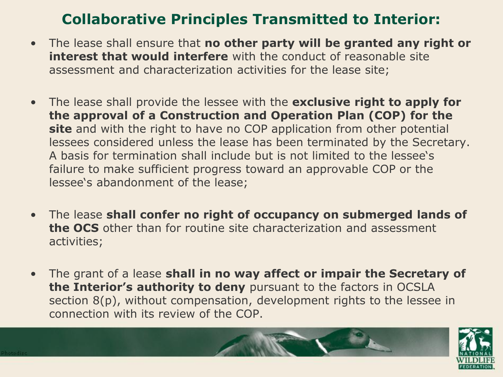### **Collaborative Principles Transmitted to Interior:**

- The lease shall ensure that **no other party will be granted any right or interest that would interfere** with the conduct of reasonable site assessment and characterization activities for the lease site;
- The lease shall provide the lessee with the **exclusive right to apply for the approval of a Construction and Operation Plan (COP) for the site** and with the right to have no COP application from other potential lessees considered unless the lease has been terminated by the Secretary. A basis for termination shall include but is not limited to the lessee"s failure to make sufficient progress toward an approvable COP or the lessee's abandonment of the lease;
- The lease **shall confer no right of occupancy on submerged lands of the OCS** other than for routine site characterization and assessment activities;
- The grant of a lease **shall in no way affect or impair the Secretary of the Interior's authority to deny** pursuant to the factors in OCSLA section 8(p), without compensation, development rights to the lessee in connection with its review of the COP.

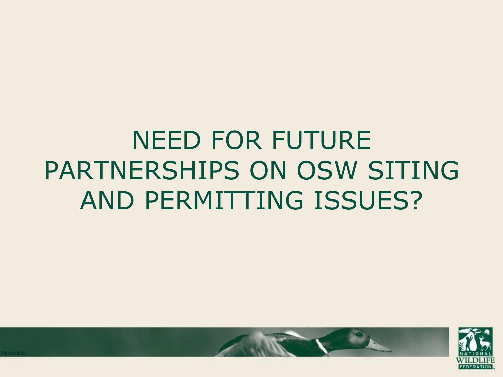# NEED FOR FUTURE PARTNERSHIPS ON OSW SITING AND PERMITTING ISSUES?